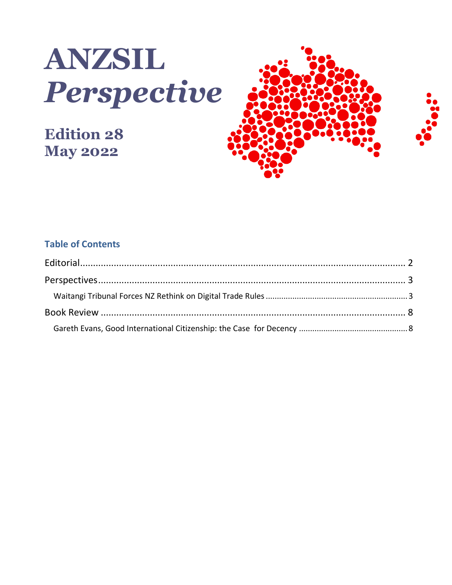

# **Edition 28 May 2022**



#### **Table of Contents**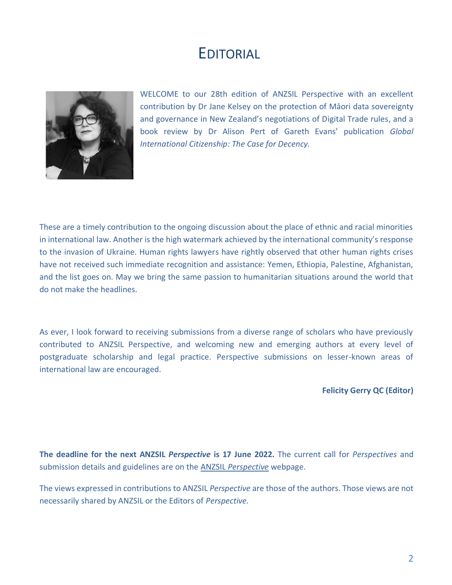### EDITORIAL

<span id="page-1-0"></span>

WELCOME to our 28th edition of ANZSIL Perspective with an excellent contribution by Dr Jane Kelsey on the protection of Māori data sovereignty and governance in New Zealand's negotiations of Digital Trade rules, and a book review by Dr Alison Pert of Gareth Evans' publication *Global International Citizenship: The Case for Decency.* 

These are a timely contribution to the ongoing discussion about the place of ethnic and racial minorities in international law. Another is the high watermark achieved by the international community's response to the invasion of Ukraine. Human rights lawyers have rightly observed that other human rights crises have not received such immediate recognition and assistance: Yemen, Ethiopia, Palestine, Afghanistan, and the list goes on. May we bring the same passion to humanitarian situations around the world that do not make the headlines.

As ever, I look forward to receiving submissions from a diverse range of scholars who have previously contributed to ANZSIL Perspective, and welcoming new and emerging authors at every level of postgraduate scholarship and legal practice. Perspective submissions on lesser-known areas of international law are encouraged.

**Felicity Gerry QC (Editor)**

**The deadline for the next ANZSIL** *Perspective* **is 17 June 2022.** The current call for *Perspectives* and submission details and guidelines are on the [ANZSIL](http://www.anzsil.org.au/ANZSIL-Perspective) *[Perspective](http://www.anzsil.org.au/ANZSIL-Perspective)* webpage.

The views expressed in contributions to ANZSIL *Perspective* are those of the authors. Those views are not necessarily shared by ANZSIL or the Editors of *Perspective.*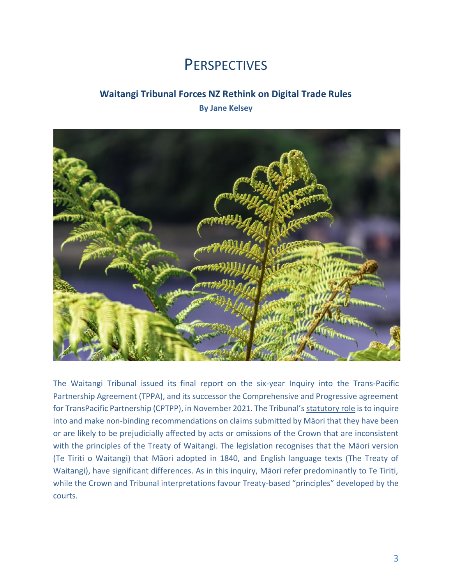## **PERSPECTIVES**

#### <span id="page-2-0"></span>**Waitangi Tribunal Forces NZ Rethink on Digital Trade Rules**

**By Jane Kelsey**

<span id="page-2-1"></span>

The Waitangi Tribunal issued its final report on the six-year Inquiry into the Trans-Pacific Partnership Agreement (TPPA), and its successor the Comprehensive and Progressive agreement for TransPacific Partnership (CPTPP), in November 2021. The Tribunal's [statutory role](https://www.legislation.govt.nz/act/public/1975/0114/latest/whole.html) is to inquire into and make non-binding recommendations on claims submitted by Māori that they have been or are likely to be prejudicially affected by acts or omissions of the Crown that are inconsistent with the principles of the Treaty of Waitangi. The legislation recognises that the Māori version (Te Tiriti o Waitangi) that Māori adopted in 1840, and English language texts (The Treaty of Waitangi), have significant differences. As in this inquiry, Māori refer predominantly to Te Tiriti, while the Crown and Tribunal interpretations favour Treaty-based "principles" developed by the courts.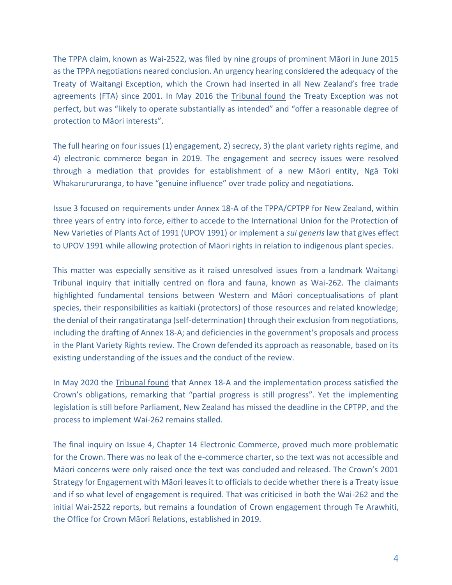The TPPA claim, known as Wai-2522, was filed by nine groups of prominent Māori in June 2015 as the TPPA negotiations neared conclusion. An urgency hearing considered the adequacy of the Treaty of Waitangi Exception, which the Crown had inserted in all New Zealand's free trade agreements (FTA) since 2001. In May 2016 the [Tribunal found](https://forms.justice.govt.nz/search/Documents/WT/wt_DOC_104833137/Report%20on%20the%20TPPA%20W.pdf) the Treaty Exception was not perfect, but was "likely to operate substantially as intended" and "offer a reasonable degree of protection to Māori interests".

The full hearing on four issues (1) engagement, 2) secrecy, 3) the plant variety rights regime, and 4) electronic commerce began in 2019. The engagement and secrecy issues were resolved through a mediation that provides for establishment of a new Māori entity, Ngā Toki Whakarurururanga, to have "genuine influence" over trade policy and negotiations.

Issue 3 focused on requirements under Annex 18-A of the TPPA/CPTPP for New Zealand, within three years of entry into force, either to accede to the International Union for the Protection of New Varieties of Plants Act of 1991 (UPOV 1991) or implement a *sui generis* law that gives effect to UPOV 1991 while allowing protection of Māori rights in relation to indigenous plant species.

This matter was especially sensitive as it raised unresolved issues from a landmark Waitangi Tribunal inquiry that initially centred on flora and fauna, known as Wai-262. The claimants highlighted fundamental tensions between Western and Māori conceptualisations of plant species, their responsibilities as kaitiaki (protectors) of those resources and related knowledge; the denial of their rangatiratanga (self-determination) through their exclusion from negotiations, including the drafting of Annex 18-A; and deficiencies in the government's proposals and process in the Plant Variety Rights review. The Crown defended its approach as reasonable, based on its existing understanding of the issues and the conduct of the review.

In May 2020 the [Tribunal found](https://forms.justice.govt.nz/search/Documents/WT/wt_DOC_167062478/Plant%20Variety%20Rights%20Regime%20W.pdf) that Annex 18-A and the implementation process satisfied the Crown's obligations, remarking that "partial progress is still progress". Yet the implementing legislation is still before Parliament, New Zealand has missed the deadline in the CPTPP, and the process to implement Wai-262 remains stalled.

The final inquiry on Issue 4, Chapter 14 Electronic Commerce, proved much more problematic for the Crown. There was no leak of the e-commerce charter, so the text was not accessible and Māori concerns were only raised once the text was concluded and released. The Crown's 2001 Strategy for Engagement with Māori leaves it to officials to decide whether there is a Treaty issue and if so what level of engagement is required. That was criticised in both the Wai-262 and the initial Wai-2522 reports, but remains a foundation of [Crown engagement](https://www.tearawhiti.govt.nz/te-kahui-hikina-maori-crown-relations/engagement/) through Te Arawhiti, the Office for Crown Māori Relations, established in 2019.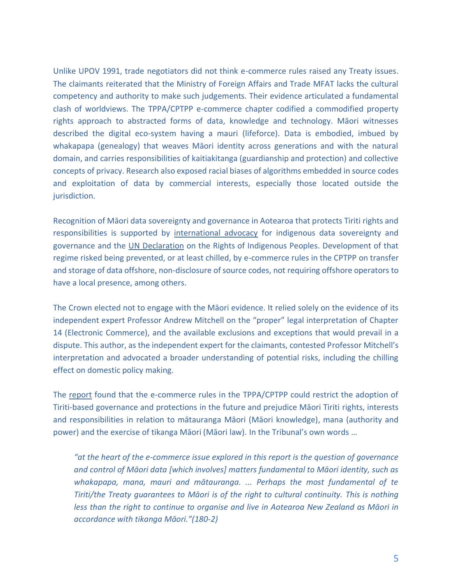Unlike UPOV 1991, trade negotiators did not think e-commerce rules raised any Treaty issues. The claimants reiterated that the Ministry of Foreign Affairs and Trade MFAT lacks the cultural competency and authority to make such judgements. Their evidence articulated a fundamental clash of worldviews. The TPPA/CPTPP e-commerce chapter codified a commodified property rights approach to abstracted forms of data, knowledge and technology. Māori witnesses described the digital eco-system having a mauri (lifeforce). Data is embodied, imbued by whakapapa (genealogy) that weaves Māori identity across generations and with the natural domain, and carries responsibilities of kaitiakitanga (guardianship and protection) and collective concepts of privacy. Research also exposed racial biases of algorithms embedded in source codes and exploitation of data by commercial interests, especially those located outside the jurisdiction.

Recognition of Māori data sovereignty and governance in Aotearoa that protects Tiriti rights and responsibilities is supported by [international advocacy](https://www.iwgia.org/en/ip-i-iw/4268-iw-2021-indigenous-data-sovereignty.html) for indigenous data sovereignty and governance and the [UN Declaration](https://www.un.org/development/desa/indigenouspeoples/wp-content/uploads/sites/19/2018/11/UNDRIP_E_web.pdf) on the Rights of Indigenous Peoples. Development of that regime risked being prevented, or at least chilled, by e-commerce rules in the CPTPP on transfer and storage of data offshore, non-disclosure of source codes, not requiring offshore operators to have a local presence, among others.

The Crown elected not to engage with the Māori evidence. It relied solely on the evidence of its independent expert Professor Andrew Mitchell on the "proper" legal interpretation of Chapter 14 (Electronic Commerce), and the available exclusions and exceptions that would prevail in a dispute. This author, as the independent expert for the claimants, contested Professor Mitchell's interpretation and advocated a broader understanding of potential risks, including the chilling effect on domestic policy making.

The [report](https://waitangitribunal.govt.nz/news/tribunal-releases-report-on-the-cptppa/) found that the e-commerce rules in the TPPA/CPTPP could restrict the adoption of Tiriti-based governance and protections in the future and prejudice Māori Tiriti rights, interests and responsibilities in relation to mātauranga Māori (Māori knowledge), mana (authority and power) and the exercise of tikanga Māori (Māori law). In the Tribunal's own words …

*"at the heart of the e-commerce issue explored in this report is the question of governance and control of Māori data [which involves] matters fundamental to Māori identity, such as whakapapa, mana, mauri and mātauranga. ... Perhaps the most fundamental of te Tiriti/the Treaty guarantees to Māori is of the right to cultural continuity. This is nothing less than the right to continue to organise and live in Aotearoa New Zealand as Māori in accordance with tikanga Māori."(180-2)*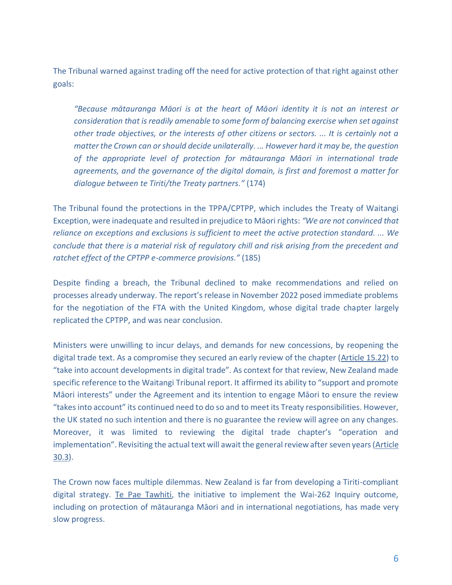The Tribunal warned against trading off the need for active protection of that right against other goals:

*"Because mātauranga Māori is at the heart of Māori identity it is not an interest or consideration that is readily amenable to some form of balancing exercise when set against other trade objectives, or the interests of other citizens or sectors. ... It is certainly not a matter the Crown can or should decide unilaterally. ... However hard it may be, the question of the appropriate level of protection for mātauranga Māori in international trade agreements, and the governance of the digital domain, is first and foremost a matter for dialogue between te Tiriti/the Treaty partners."* (174)

The Tribunal found the protections in the TPPA/CPTPP, which includes the Treaty of Waitangi Exception, were inadequate and resulted in prejudice to Māori rights: *"We are not convinced that reliance on exceptions and exclusions is sufficient to meet the active protection standard. ... We conclude that there is a material risk of regulatory chill and risk arising from the precedent and ratchet effect of the CPTPP e-commerce provisions."* (185)

Despite finding a breach, the Tribunal declined to make recommendations and relied on processes already underway. The report's release in November 2022 posed immediate problems for the negotiation of the FTA with the United Kingdom, whose digital trade chapter largely replicated the CPTPP, and was near conclusion.

Ministers were unwilling to incur delays, and demands for new concessions, by reopening the digital trade text. As a compromise they secured an early review of the chapter [\(Article 15.22\)](https://www.mfat.govt.nz/assets/Trade-agreements/UK-NZ-FTA/Chapters/Chapter-15-Digital-Trade.pdf) to "take into account developments in digital trade". As context for that review, New Zealand made specific reference to the Waitangi Tribunal report. It affirmed its ability to "support and promote Māori interests" under the Agreement and its intention to engage Māori to ensure the review "takes into account" its continued need to do so and to meet its Treaty responsibilities. However, the UK stated no such intention and there is no guarantee the review will agree on any changes. Moreover, it was limited to reviewing the digital trade chapter's "operation and implementation". Revisiting the actual text will await the general review after seven years [\(Article](https://www.mfat.govt.nz/assets/Trade-agreements/UK-NZ-FTA/Chapters/Chapter-30-Institutional-Provisions.pdf)  [30.3\)](https://www.mfat.govt.nz/assets/Trade-agreements/UK-NZ-FTA/Chapters/Chapter-30-Institutional-Provisions.pdf).

The Crown now faces multiple dilemmas. New Zealand is far from developing a Tiriti-compliant digital strategy. [Te Pae Tawhiti,](https://www.tpk.govt.nz/en/a-matou-kaupapa/te-ao-maori/wai-262-te-pae-tawhiti) the initiative to implement the Wai-262 Inquiry outcome, including on protection of mātauranga Māori and in international negotiations, has made very slow progress.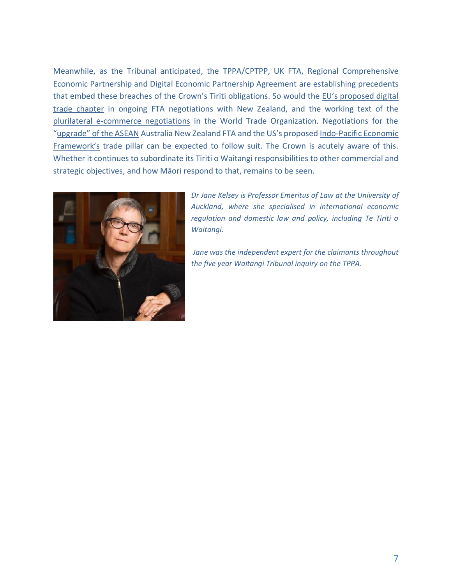Meanwhile, as the Tribunal anticipated, the TPPA/CPTPP, UK FTA, Regional Comprehensive Economic Partnership and Digital Economic Partnership Agreement are establishing precedents that embed these breaches of the Crown's Tiriti obligations. So would the EU's proposed digital [trade chapter](https://trade.ec.europa.eu/doclib/docs/2018/december/tradoc_157581.pdf) in ongoing FTA negotiations with New Zealand, and the working text of the [plurilateral e-commerce negotiations](https://www.bilaterals.org/?-other-292-) in the World Trade Organization. Negotiations for the ["upgrade" of the ASEAN](https://www.mfat.govt.nz/en/trade/free-trade-agreements/free-trade-agreements-in-force/asean-australia-new-zealand-free-trade-agreement-aanzfta/upgrading-aanzfta/) Australia New Zealand FTA and the US's proposed [Indo-Pacific Economic](https://www.itic.org/news-events/news-releases/iti-encourages-biden-administration-to-prioritize-digital-commitments-consider-market-access-in-indo-pacific-economic-framework)  [Framework's](https://www.itic.org/news-events/news-releases/iti-encourages-biden-administration-to-prioritize-digital-commitments-consider-market-access-in-indo-pacific-economic-framework) trade pillar can be expected to follow suit. The Crown is acutely aware of this. Whether it continues to subordinate its Tiriti o Waitangi responsibilities to other commercial and strategic objectives, and how Māori respond to that, remains to be seen.



*Dr Jane Kelsey is Professor Emeritus of Law at the University of Auckland, where she specialised in international economic regulation and domestic law and policy, including Te Tiriti o Waitangi.*

*Jane was the independent expert for the claimants throughout the five year Waitangi Tribunal inquiry on the TPPA.*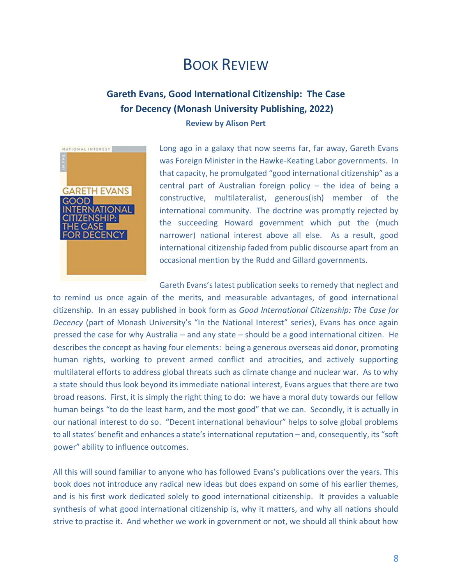## BOOK REVIEW

#### <span id="page-7-0"></span>**Gareth Evans, Good International Citizenship: The Case for Decency (Monash University Publishing, 2022) Review by Alison Pert**

<span id="page-7-1"></span>

Long ago in a galaxy that now seems far, far away, Gareth Evans was Foreign Minister in the Hawke-Keating Labor governments. In that capacity, he promulgated "good international citizenship" as a central part of Australian foreign policy – the idea of being a constructive, multilateralist, generous(ish) member of the international community. The doctrine was promptly rejected by the succeeding Howard government which put the (much narrower) national interest above all else. As a result, good international citizenship faded from public discourse apart from an occasional mention by the Rudd and Gillard governments.

Gareth Evans's latest publication seeks to remedy that neglect and to remind us once again of the merits, and measurable advantages, of good international citizenship. In an essay published in book form as *Good International Citizenship: The Case for Decency* (part of Monash University's "In the National Interest" series), Evans has once again pressed the case for why Australia – and any state – should be a good international citizen. He describes the concept as having four elements: being a generous overseas aid donor, promoting human rights, working to prevent armed conflict and atrocities, and actively supporting multilateral efforts to address global threats such as climate change and nuclear war. As to why a state should thus look beyond its immediate national interest, Evans argues that there are two broad reasons. First, it is simply the right thing to do: we have a moral duty towards our fellow human beings "to do the least harm, and the most good" that we can. Secondly, it is actually in our national interest to do so. "Decent international behaviour" helps to solve global problems to all states' benefit and enhances a state's international reputation – and, consequently, its "soft power" ability to influence outcomes.

All this will sound familiar to anyone who has followed Evans's [publications](http://www.gevans.org/pubs.html) over the years. This book does not introduce any radical new ideas but does expand on some of his earlier themes, and is his first work dedicated solely to good international citizenship. It provides a valuable synthesis of what good international citizenship is, why it matters, and why all nations should strive to practise it. And whether we work in government or not, we should all think about how